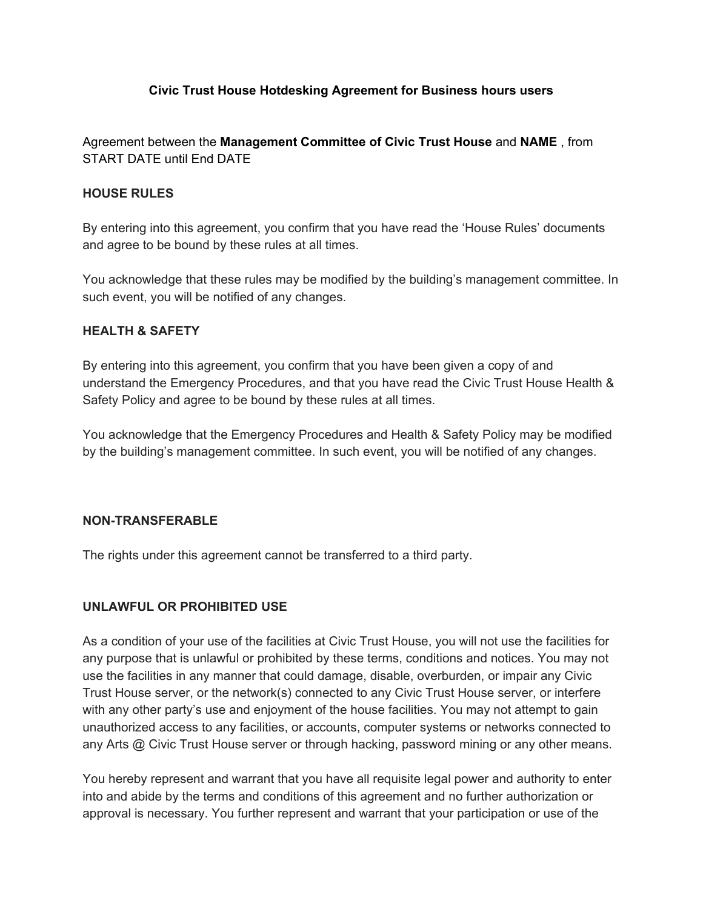#### **Civic Trust House Hotdesking Agreement for Business hours users**

Agreement between the **Management Committee of Civic Trust House** and **NAME** , from START DATE until End DATE

#### **HOUSE RULES**

By entering into this agreement, you confirm that you have read the 'House Rules' documents and agree to be bound by these rules at all times.

You acknowledge that these rules may be modified by the building's management committee. In such event, you will be notified of any changes.

#### **HEALTH & SAFETY**

By entering into this agreement, you confirm that you have been given a copy of and understand the Emergency Procedures, and that you have read the Civic Trust House Health & Safety Policy and agree to be bound by these rules at all times.

You acknowledge that the Emergency Procedures and Health & Safety Policy may be modified by the building's management committee. In such event, you will be notified of any changes.

#### **NON-TRANSFERABLE**

The rights under this agreement cannot be transferred to a third party.

### **UNLAWFUL OR PROHIBITED USE**

As a condition of your use of the facilities at Civic Trust House, you will not use the facilities for any purpose that is unlawful or prohibited by these terms, conditions and notices. You may not use the facilities in any manner that could damage, disable, overburden, or impair any Civic Trust House server, or the network(s) connected to any Civic Trust House server, or interfere with any other party's use and enjoyment of the house facilities. You may not attempt to gain unauthorized access to any facilities, or accounts, computer systems or networks connected to any Arts @ Civic Trust House server or through hacking, password mining or any other means.

You hereby represent and warrant that you have all requisite legal power and authority to enter into and abide by the terms and conditions of this agreement and no further authorization or approval is necessary. You further represent and warrant that your participation or use of the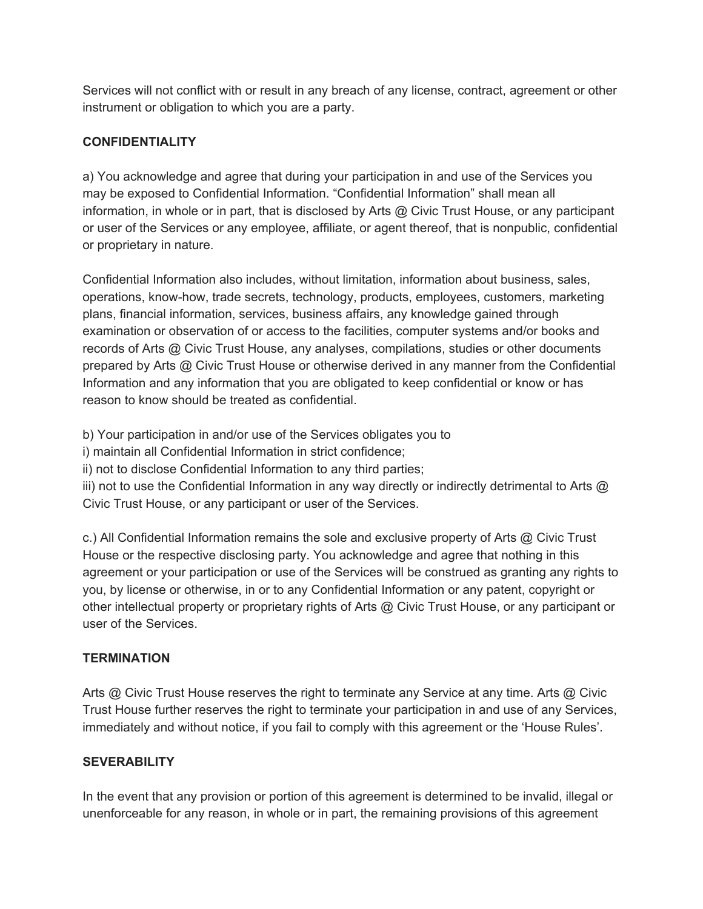Services will not conflict with or result in any breach of any license, contract, agreement or other instrument or obligation to which you are a party.

# **CONFIDENTIALITY**

a) You acknowledge and agree that during your participation in and use of the Services you may be exposed to Confidential Information. "Confidential Information" shall mean all information, in whole or in part, that is disclosed by Arts @ Civic Trust House, or any participant or user of the Services or any employee, affiliate, or agent thereof, that is nonpublic, confidential or proprietary in nature.

Confidential Information also includes, without limitation, information about business, sales, operations, know-how, trade secrets, technology, products, employees, customers, marketing plans, financial information, services, business affairs, any knowledge gained through examination or observation of or access to the facilities, computer systems and/or books and records of Arts @ Civic Trust House, any analyses, compilations, studies or other documents prepared by Arts @ Civic Trust House or otherwise derived in any manner from the Confidential Information and any information that you are obligated to keep confidential or know or has reason to know should be treated as confidential.

b) Your participation in and/or use of the Services obligates you to

i) maintain all Confidential Information in strict confidence;

ii) not to disclose Confidential Information to any third parties;

iii) not to use the Confidential Information in any way directly or indirectly detrimental to Arts @ Civic Trust House, or any participant or user of the Services.

c.) All Confidential Information remains the sole and exclusive property of Arts @ Civic Trust House or the respective disclosing party. You acknowledge and agree that nothing in this agreement or your participation or use of the Services will be construed as granting any rights to you, by license or otherwise, in or to any Confidential Information or any patent, copyright or other intellectual property or proprietary rights of Arts @ Civic Trust House, or any participant or user of the Services.

### **TERMINATION**

Arts @ Civic Trust House reserves the right to terminate any Service at any time. Arts @ Civic Trust House further reserves the right to terminate your participation in and use of any Services, immediately and without notice, if you fail to comply with this agreement or the 'House Rules'.

### **SEVERABILITY**

In the event that any provision or portion of this agreement is determined to be invalid, illegal or unenforceable for any reason, in whole or in part, the remaining provisions of this agreement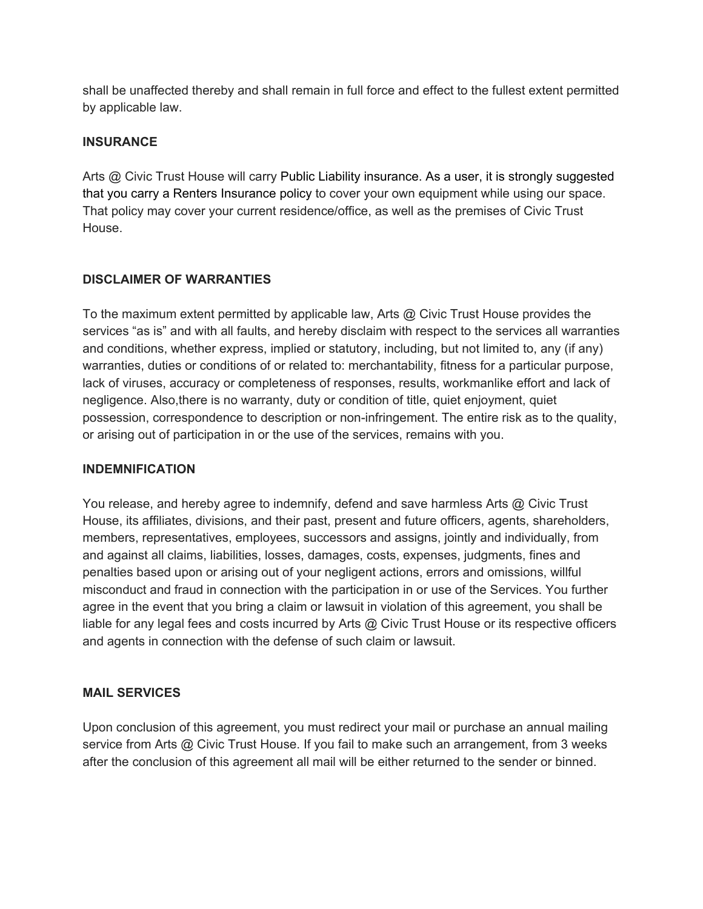shall be unaffected thereby and shall remain in full force and effect to the fullest extent permitted by applicable law.

## **INSURANCE**

Arts @ Civic Trust House will carry Public Liability insurance. As a user, it is strongly suggested that you carry a Renters Insurance policy to cover your own equipment while using our space. That policy may cover your current residence/office, as well as the premises of Civic Trust House.

# **DISCLAIMER OF WARRANTIES**

To the maximum extent permitted by applicable law, Arts @ Civic Trust House provides the services "as is" and with all faults, and hereby disclaim with respect to the services all warranties and conditions, whether express, implied or statutory, including, but not limited to, any (if any) warranties, duties or conditions of or related to: merchantability, fitness for a particular purpose, lack of viruses, accuracy or completeness of responses, results, workmanlike effort and lack of negligence. Also,there is no warranty, duty or condition of title, quiet enjoyment, quiet possession, correspondence to description or non-infringement. The entire risk as to the quality, or arising out of participation in or the use of the services, remains with you.

### **INDEMNIFICATION**

You release, and hereby agree to indemnify, defend and save harmless Arts @ Civic Trust House, its affiliates, divisions, and their past, present and future officers, agents, shareholders, members, representatives, employees, successors and assigns, jointly and individually, from and against all claims, liabilities, losses, damages, costs, expenses, judgments, fines and penalties based upon or arising out of your negligent actions, errors and omissions, willful misconduct and fraud in connection with the participation in or use of the Services. You further agree in the event that you bring a claim or lawsuit in violation of this agreement, you shall be liable for any legal fees and costs incurred by Arts @ Civic Trust House or its respective officers and agents in connection with the defense of such claim or lawsuit.

### **MAIL SERVICES**

Upon conclusion of this agreement, you must redirect your mail or purchase an annual mailing service from Arts @ Civic Trust House. If you fail to make such an arrangement, from 3 weeks after the conclusion of this agreement all mail will be either returned to the sender or binned.